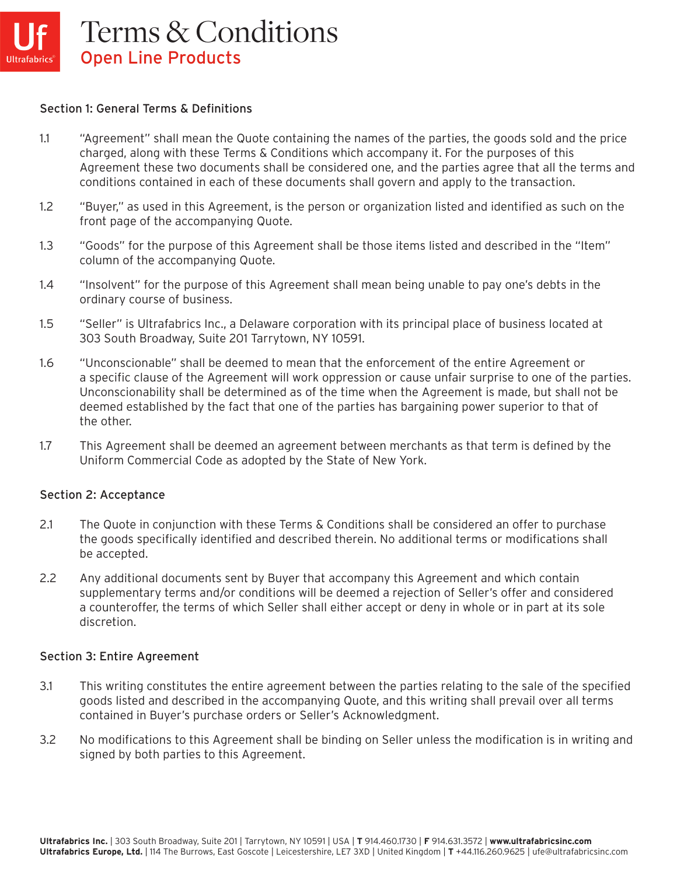### Section 1: General Terms & Definitions

- 1.1 "Agreement" shall mean the Quote containing the names of the parties, the goods sold and the price charged, along with these Terms & Conditions which accompany it. For the purposes of this Agreement these two documents shall be considered one, and the parties agree that all the terms and conditions contained in each of these documents shall govern and apply to the transaction.
- 1.2 "Buyer," as used in this Agreement, is the person or organization listed and identified as such on the front page of the accompanying Quote.
- 1.3 "Goods" for the purpose of this Agreement shall be those items listed and described in the "Item" column of the accompanying Quote.
- 1.4 "Insolvent" for the purpose of this Agreement shall mean being unable to pay one's debts in the ordinary course of business.
- 1.5 "Seller" is Ultrafabrics Inc., a Delaware corporation with its principal place of business located at 303 South Broadway, Suite 201 Tarrytown, NY 10591.
- 1.6 "Unconscionable" shall be deemed to mean that the enforcement of the entire Agreement or a specific clause of the Agreement will work oppression or cause unfair surprise to one of the parties. Unconscionability shall be determined as of the time when the Agreement is made, but shall not be deemed established by the fact that one of the parties has bargaining power superior to that of the other.
- 1.7 This Agreement shall be deemed an agreement between merchants as that term is defined by the Uniform Commercial Code as adopted by the State of New York.

#### Section 2: Acceptance

- 2.1 The Quote in conjunction with these Terms & Conditions shall be considered an offer to purchase the goods specifically identified and described therein. No additional terms or modifications shall be accepted.
- 2.2 Any additional documents sent by Buyer that accompany this Agreement and which contain supplementary terms and/or conditions will be deemed a rejection of Seller's offer and considered a counteroffer, the terms of which Seller shall either accept or deny in whole or in part at its sole discretion.

#### Section 3: Entire Agreement

- 3.1 This writing constitutes the entire agreement between the parties relating to the sale of the specified goods listed and described in the accompanying Quote, and this writing shall prevail over all terms contained in Buyer's purchase orders or Seller's Acknowledgment.
- 3.2 No modifications to this Agreement shall be binding on Seller unless the modification is in writing and signed by both parties to this Agreement.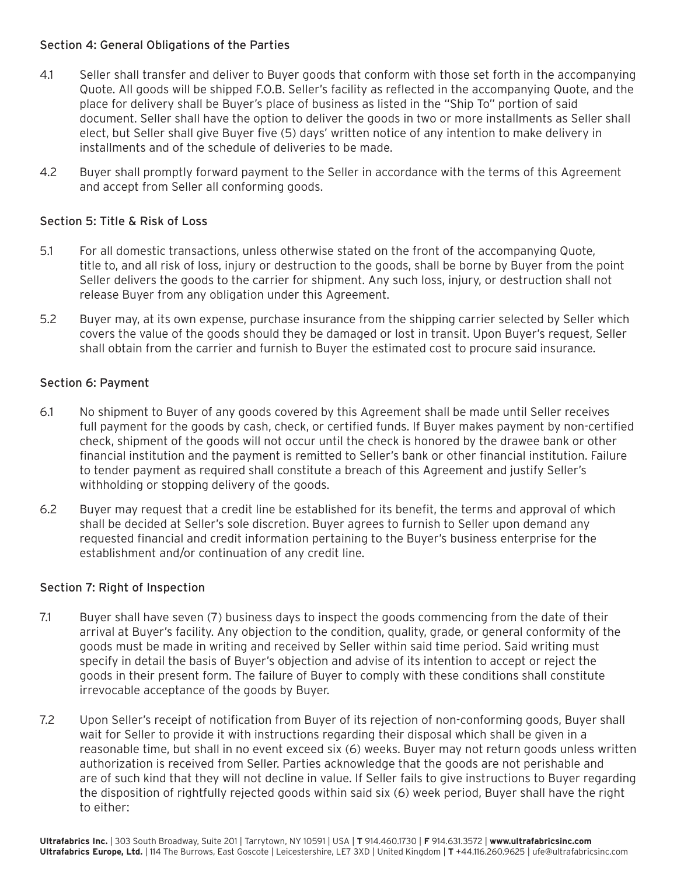## Section 4: General Obligations of the Parties

- 4.1 Seller shall transfer and deliver to Buyer goods that conform with those set forth in the accompanying Quote. All goods will be shipped F.O.B. Seller's facility as reflected in the accompanying Quote, and the place for delivery shall be Buyer's place of business as listed in the "Ship To" portion of said document. Seller shall have the option to deliver the goods in two or more installments as Seller shall elect, but Seller shall give Buyer five (5) days' written notice of any intention to make delivery in installments and of the schedule of deliveries to be made.
- 4.2 Buyer shall promptly forward payment to the Seller in accordance with the terms of this Agreement and accept from Seller all conforming goods.

# Section 5: Title & Risk of Loss

- 5.1 For all domestic transactions, unless otherwise stated on the front of the accompanying Quote, title to, and all risk of loss, injury or destruction to the goods, shall be borne by Buyer from the point Seller delivers the goods to the carrier for shipment. Any such loss, injury, or destruction shall not release Buyer from any obligation under this Agreement.
- 5.2 Buyer may, at its own expense, purchase insurance from the shipping carrier selected by Seller which covers the value of the goods should they be damaged or lost in transit. Upon Buyer's request, Seller shall obtain from the carrier and furnish to Buyer the estimated cost to procure said insurance.

# Section 6: Payment

- 6.1 No shipment to Buyer of any goods covered by this Agreement shall be made until Seller receives full payment for the goods by cash, check, or certified funds. If Buyer makes payment by non-certified check, shipment of the goods will not occur until the check is honored by the drawee bank or other financial institution and the payment is remitted to Seller's bank or other financial institution. Failure to tender payment as required shall constitute a breach of this Agreement and justify Seller's withholding or stopping delivery of the goods.
- 6.2 Buyer may request that a credit line be established for its benefit, the terms and approval of which shall be decided at Seller's sole discretion. Buyer agrees to furnish to Seller upon demand any requested financial and credit information pertaining to the Buyer's business enterprise for the establishment and/or continuation of any credit line.

# Section 7: Right of Inspection

- 7.1 Buyer shall have seven (7) business days to inspect the goods commencing from the date of their arrival at Buyer's facility. Any objection to the condition, quality, grade, or general conformity of the goods must be made in writing and received by Seller within said time period. Said writing must specify in detail the basis of Buyer's objection and advise of its intention to accept or reject the goods in their present form. The failure of Buyer to comply with these conditions shall constitute irrevocable acceptance of the goods by Buyer.
- 7.2 Upon Seller's receipt of notification from Buyer of its rejection of non-conforming goods, Buyer shall wait for Seller to provide it with instructions regarding their disposal which shall be given in a reasonable time, but shall in no event exceed six (6) weeks. Buyer may not return goods unless written authorization is received from Seller. Parties acknowledge that the goods are not perishable and are of such kind that they will not decline in value. If Seller fails to give instructions to Buyer regarding the disposition of rightfully rejected goods within said six (6) week period, Buyer shall have the right to either: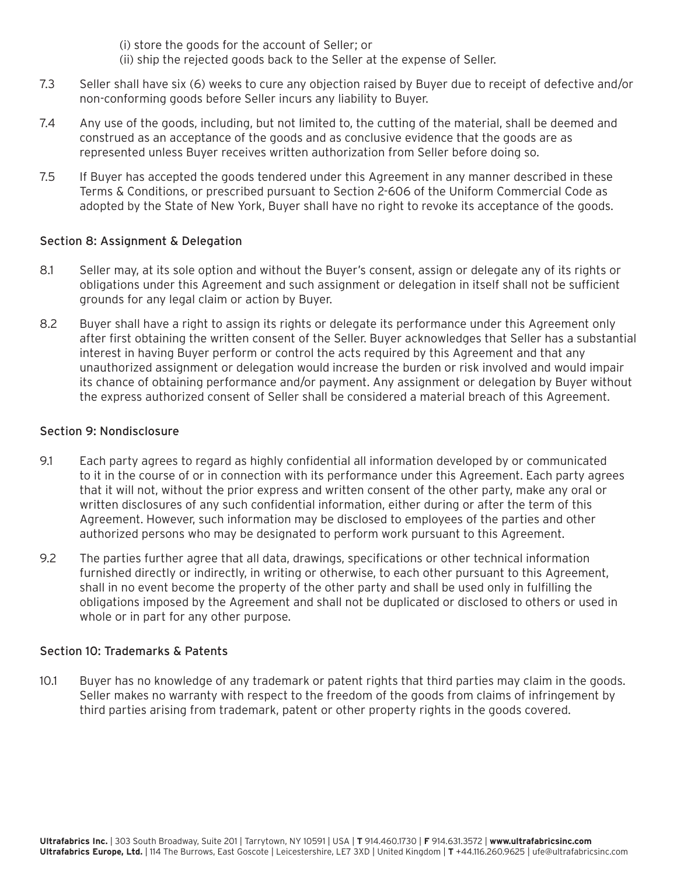(i) store the goods for the account of Seller; or

- (ii) ship the rejected goods back to the Seller at the expense of Seller.
- 7.3 Seller shall have six (6) weeks to cure any objection raised by Buyer due to receipt of defective and/or non-conforming goods before Seller incurs any liability to Buyer.
- 7.4 Any use of the goods, including, but not limited to, the cutting of the material, shall be deemed and construed as an acceptance of the goods and as conclusive evidence that the goods are as represented unless Buyer receives written authorization from Seller before doing so.
- 7.5 If Buyer has accepted the goods tendered under this Agreement in any manner described in these Terms & Conditions, or prescribed pursuant to Section 2-606 of the Uniform Commercial Code as adopted by the State of New York, Buyer shall have no right to revoke its acceptance of the goods.

# Section 8: Assignment & Delegation

- 8.1 Seller may, at its sole option and without the Buyer's consent, assign or delegate any of its rights or obligations under this Agreement and such assignment or delegation in itself shall not be sufficient grounds for any legal claim or action by Buyer.
- 8.2 Buyer shall have a right to assign its rights or delegate its performance under this Agreement only after first obtaining the written consent of the Seller. Buyer acknowledges that Seller has a substantial interest in having Buyer perform or control the acts required by this Agreement and that any unauthorized assignment or delegation would increase the burden or risk involved and would impair its chance of obtaining performance and/or payment. Any assignment or delegation by Buyer without the express authorized consent of Seller shall be considered a material breach of this Agreement.

## Section 9: Nondisclosure

- 9.1 Each party agrees to regard as highly confidential all information developed by or communicated to it in the course of or in connection with its performance under this Agreement. Each party agrees that it will not, without the prior express and written consent of the other party, make any oral or written disclosures of any such confidential information, either during or after the term of this Agreement. However, such information may be disclosed to employees of the parties and other authorized persons who may be designated to perform work pursuant to this Agreement.
- 9.2 The parties further agree that all data, drawings, specifications or other technical information furnished directly or indirectly, in writing or otherwise, to each other pursuant to this Agreement, shall in no event become the property of the other party and shall be used only in fulfilling the obligations imposed by the Agreement and shall not be duplicated or disclosed to others or used in whole or in part for any other purpose.

### Section 10: Trademarks & Patents

10.1 Buyer has no knowledge of any trademark or patent rights that third parties may claim in the goods. Seller makes no warranty with respect to the freedom of the goods from claims of infringement by third parties arising from trademark, patent or other property rights in the goods covered.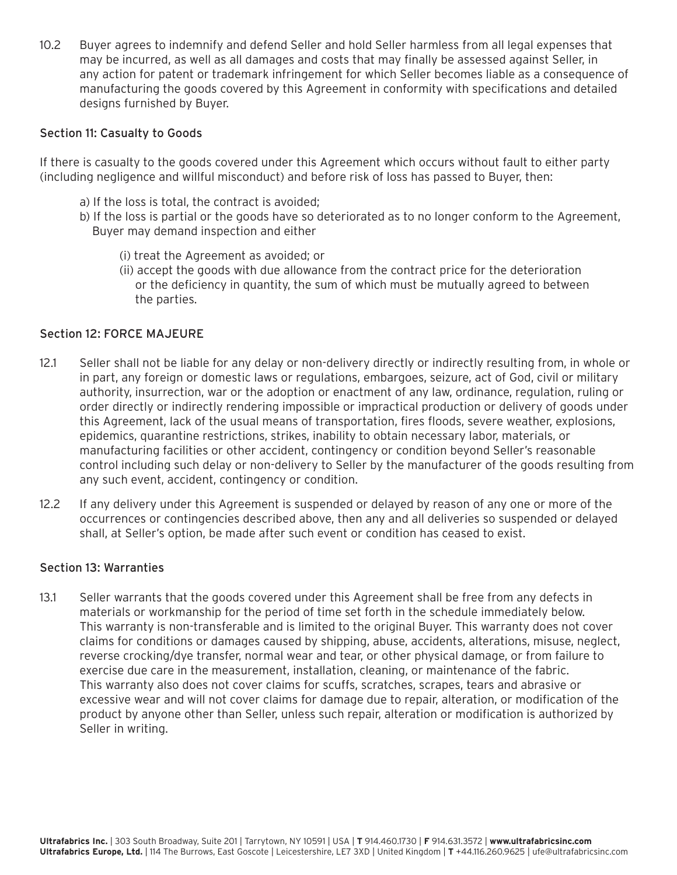10.2 Buyer agrees to indemnify and defend Seller and hold Seller harmless from all legal expenses that may be incurred, as well as all damages and costs that may finally be assessed against Seller, in any action for patent or trademark infringement for which Seller becomes liable as a consequence of manufacturing the goods covered by this Agreement in conformity with specifications and detailed designs furnished by Buyer.

### Section 11: Casualty to Goods

If there is casualty to the goods covered under this Agreement which occurs without fault to either party (including negligence and willful misconduct) and before risk of loss has passed to Buyer, then:

- a) If the loss is total, the contract is avoided;
- b) If the loss is partial or the goods have so deteriorated as to no longer conform to the Agreement, Buyer may demand inspection and either
	- (i) treat the Agreement as avoided; or
	- (ii) accept the goods with due allowance from the contract price for the deterioration or the deficiency in quantity, the sum of which must be mutually agreed to between the parties.

#### Section 12: FORCE MAJEURE

- 12.1 Seller shall not be liable for any delay or non-delivery directly or indirectly resulting from, in whole or in part, any foreign or domestic laws or regulations, embargoes, seizure, act of God, civil or military authority, insurrection, war or the adoption or enactment of any law, ordinance, regulation, ruling or order directly or indirectly rendering impossible or impractical production or delivery of goods under this Agreement, lack of the usual means of transportation, fires floods, severe weather, explosions, epidemics, quarantine restrictions, strikes, inability to obtain necessary labor, materials, or manufacturing facilities or other accident, contingency or condition beyond Seller's reasonable control including such delay or non-delivery to Seller by the manufacturer of the goods resulting from any such event, accident, contingency or condition.
- 12.2 If any delivery under this Agreement is suspended or delayed by reason of any one or more of the occurrences or contingencies described above, then any and all deliveries so suspended or delayed shall, at Seller's option, be made after such event or condition has ceased to exist.

#### Section 13: Warranties

13.1 Seller warrants that the goods covered under this Agreement shall be free from any defects in materials or workmanship for the period of time set forth in the schedule immediately below. This warranty is non-transferable and is limited to the original Buyer. This warranty does not cover claims for conditions or damages caused by shipping, abuse, accidents, alterations, misuse, neglect, reverse crocking/dye transfer, normal wear and tear, or other physical damage, or from failure to exercise due care in the measurement, installation, cleaning, or maintenance of the fabric. This warranty also does not cover claims for scuffs, scratches, scrapes, tears and abrasive or excessive wear and will not cover claims for damage due to repair, alteration, or modification of the product by anyone other than Seller, unless such repair, alteration or modification is authorized by Seller in writing.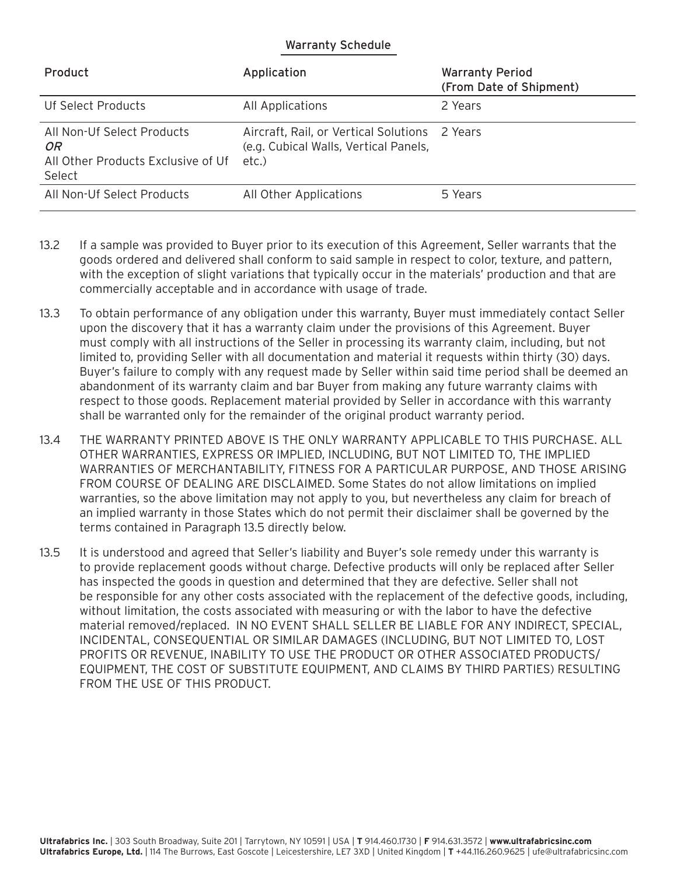## Warranty Schedule

| Product                                                                          | Application                                                                                     | <b>Warranty Period</b><br>(From Date of Shipment) |
|----------------------------------------------------------------------------------|-------------------------------------------------------------------------------------------------|---------------------------------------------------|
| Uf Select Products                                                               | All Applications                                                                                | 2 Years                                           |
| All Non-Uf Select Products<br>OR<br>All Other Products Exclusive of Uf<br>Select | Aircraft, Rail, or Vertical Solutions 2 Years<br>(e.g. Cubical Walls, Vertical Panels,<br>etc.) |                                                   |
| All Non-Uf Select Products                                                       | All Other Applications                                                                          | 5 Years                                           |

- 13.2 If a sample was provided to Buyer prior to its execution of this Agreement, Seller warrants that the goods ordered and delivered shall conform to said sample in respect to color, texture, and pattern, with the exception of slight variations that typically occur in the materials' production and that are commercially acceptable and in accordance with usage of trade.
- 13.3 To obtain performance of any obligation under this warranty, Buyer must immediately contact Seller upon the discovery that it has a warranty claim under the provisions of this Agreement. Buyer must comply with all instructions of the Seller in processing its warranty claim, including, but not limited to, providing Seller with all documentation and material it requests within thirty (30) days. Buyer's failure to comply with any request made by Seller within said time period shall be deemed an abandonment of its warranty claim and bar Buyer from making any future warranty claims with respect to those goods. Replacement material provided by Seller in accordance with this warranty shall be warranted only for the remainder of the original product warranty period.
- 13.4 THE WARRANTY PRINTED ABOVE IS THE ONLY WARRANTY APPLICABLE TO THIS PURCHASE. ALL OTHER WARRANTIES, EXPRESS OR IMPLIED, INCLUDING, BUT NOT LIMITED TO, THE IMPLIED WARRANTIES OF MERCHANTABILITY, FITNESS FOR A PARTICULAR PURPOSE, AND THOSE ARISING FROM COURSE OF DEALING ARE DISCLAIMED. Some States do not allow limitations on implied warranties, so the above limitation may not apply to you, but nevertheless any claim for breach of an implied warranty in those States which do not permit their disclaimer shall be governed by the terms contained in Paragraph 13.5 directly below.
- 13.5 It is understood and agreed that Seller's liability and Buyer's sole remedy under this warranty is to provide replacement goods without charge. Defective products will only be replaced after Seller has inspected the goods in question and determined that they are defective. Seller shall not be responsible for any other costs associated with the replacement of the defective goods, including, without limitation, the costs associated with measuring or with the labor to have the defective material removed/replaced. IN NO EVENT SHALL SELLER BE LIABLE FOR ANY INDIRECT, SPECIAL, INCIDENTAL, CONSEQUENTIAL OR SIMILAR DAMAGES (INCLUDING, BUT NOT LIMITED TO, LOST PROFITS OR REVENUE, INABILITY TO USE THE PRODUCT OR OTHER ASSOCIATED PRODUCTS/ EQUIPMENT, THE COST OF SUBSTITUTE EQUIPMENT, AND CLAIMS BY THIRD PARTIES) RESULTING FROM THE USE OF THIS PRODUCT.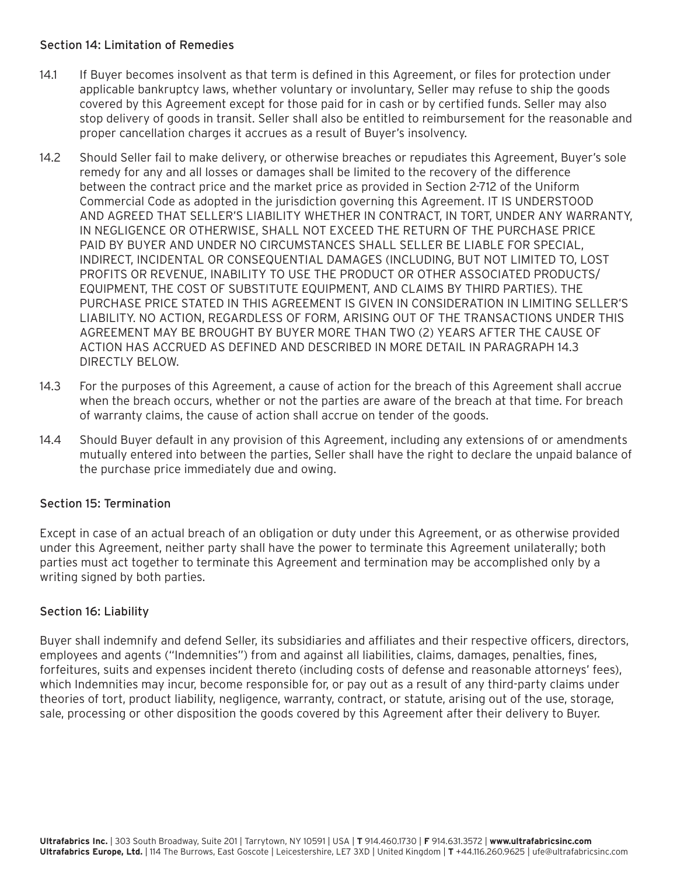## Section 14: Limitation of Remedies

- 14.1 If Buyer becomes insolvent as that term is defined in this Agreement, or files for protection under applicable bankruptcy laws, whether voluntary or involuntary, Seller may refuse to ship the goods covered by this Agreement except for those paid for in cash or by certified funds. Seller may also stop delivery of goods in transit. Seller shall also be entitled to reimbursement for the reasonable and proper cancellation charges it accrues as a result of Buyer's insolvency.
- 14.2 Should Seller fail to make delivery, or otherwise breaches or repudiates this Agreement, Buyer's sole remedy for any and all losses or damages shall be limited to the recovery of the difference between the contract price and the market price as provided in Section 2-712 of the Uniform Commercial Code as adopted in the jurisdiction governing this Agreement. IT IS UNDERSTOOD AND AGREED THAT SELLER'S LIABILITY WHETHER IN CONTRACT, IN TORT, UNDER ANY WARRANTY, IN NEGLIGENCE OR OTHERWISE, SHALL NOT EXCEED THE RETURN OF THE PURCHASE PRICE PAID BY BUYER AND UNDER NO CIRCUMSTANCES SHALL SELLER BE LIABLE FOR SPECIAL, INDIRECT, INCIDENTAL OR CONSEQUENTIAL DAMAGES (INCLUDING, BUT NOT LIMITED TO, LOST PROFITS OR REVENUE, INABILITY TO USE THE PRODUCT OR OTHER ASSOCIATED PRODUCTS/ EQUIPMENT, THE COST OF SUBSTITUTE EQUIPMENT, AND CLAIMS BY THIRD PARTIES). THE PURCHASE PRICE STATED IN THIS AGREEMENT IS GIVEN IN CONSIDERATION IN LIMITING SELLER'S LIABILITY. NO ACTION, REGARDLESS OF FORM, ARISING OUT OF THE TRANSACTIONS UNDER THIS AGREEMENT MAY BE BROUGHT BY BUYER MORE THAN TWO (2) YEARS AFTER THE CAUSE OF ACTION HAS ACCRUED AS DEFINED AND DESCRIBED IN MORE DETAIL IN PARAGRAPH 14.3 DIRECTLY BELOW.
- 14.3 For the purposes of this Agreement, a cause of action for the breach of this Agreement shall accrue when the breach occurs, whether or not the parties are aware of the breach at that time. For breach of warranty claims, the cause of action shall accrue on tender of the goods.
- 14.4 Should Buyer default in any provision of this Agreement, including any extensions of or amendments mutually entered into between the parties, Seller shall have the right to declare the unpaid balance of the purchase price immediately due and owing.

# Section 15: Termination

Except in case of an actual breach of an obligation or duty under this Agreement, or as otherwise provided under this Agreement, neither party shall have the power to terminate this Agreement unilaterally; both parties must act together to terminate this Agreement and termination may be accomplished only by a writing signed by both parties.

# Section 16: Liability

Buyer shall indemnify and defend Seller, its subsidiaries and affiliates and their respective officers, directors, employees and agents ("Indemnities") from and against all liabilities, claims, damages, penalties, fines, forfeitures, suits and expenses incident thereto (including costs of defense and reasonable attorneys' fees), which Indemnities may incur, become responsible for, or pay out as a result of any third-party claims under theories of tort, product liability, negligence, warranty, contract, or statute, arising out of the use, storage, sale, processing or other disposition the goods covered by this Agreement after their delivery to Buyer.